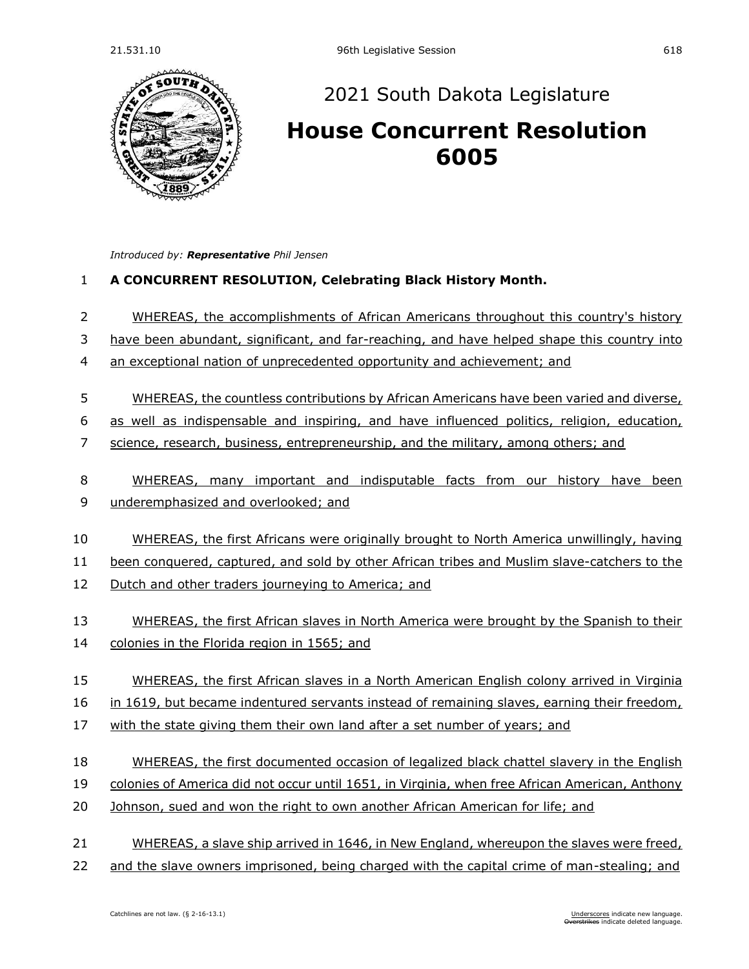

## [2021 South Dakota Legislature](https://sdlegislature.gov/Session/Bills/44)

## **[House Concurrent Resolution](https://sdlegislature.gov/Session/Bill/22251)**

*Introduced by: Representative [Phil Jensen](https://sdlegislature.gov/Legislators/Profile/1805/Detail)*

## **A CONCURRENT RESOLUTION, Celebrating Black History Month.**

- 2 WHEREAS, the accomplishments of African Americans throughout this country's history
- have been abundant, significant, and far-reaching, and have helped shape this country into
- an exceptional nation of unprecedented opportunity and achievement; and
- WHEREAS, the countless contributions by African Americans have been varied and diverse,
- as well as indispensable and inspiring, and have influenced politics, religion, education,
- science, research, business, entrepreneurship, and the military, among others; and
- WHEREAS, many important and indisputable facts from our history have been
- underemphasized and overlooked; and
- WHEREAS, the first Africans were originally brought to North America unwillingly, having

been conquered, captured, and sold by other African tribes and Muslim slave-catchers to the

- Dutch and other traders journeying to America; and
- 13 WHEREAS, the first African slaves in North America were brought by the Spanish to their
- colonies in the Florida region in 1565; and
- 15 WHEREAS, the first African slaves in a North American English colony arrived in Virginia

16 in 1619, but became indentured servants instead of remaining slaves, earning their freedom,

- with the state giving them their own land after a set number of years; and
- WHEREAS, the first documented occasion of legalized black chattel slavery in the English
- colonies of America did not occur until 1651, in Virginia, when free African American, Anthony
- Johnson, sued and won the right to own another African American for life; and
- WHEREAS, a slave ship arrived in 1646, in New England, whereupon the slaves were freed,
- and the slave owners imprisoned, being charged with the capital crime of man-stealing; and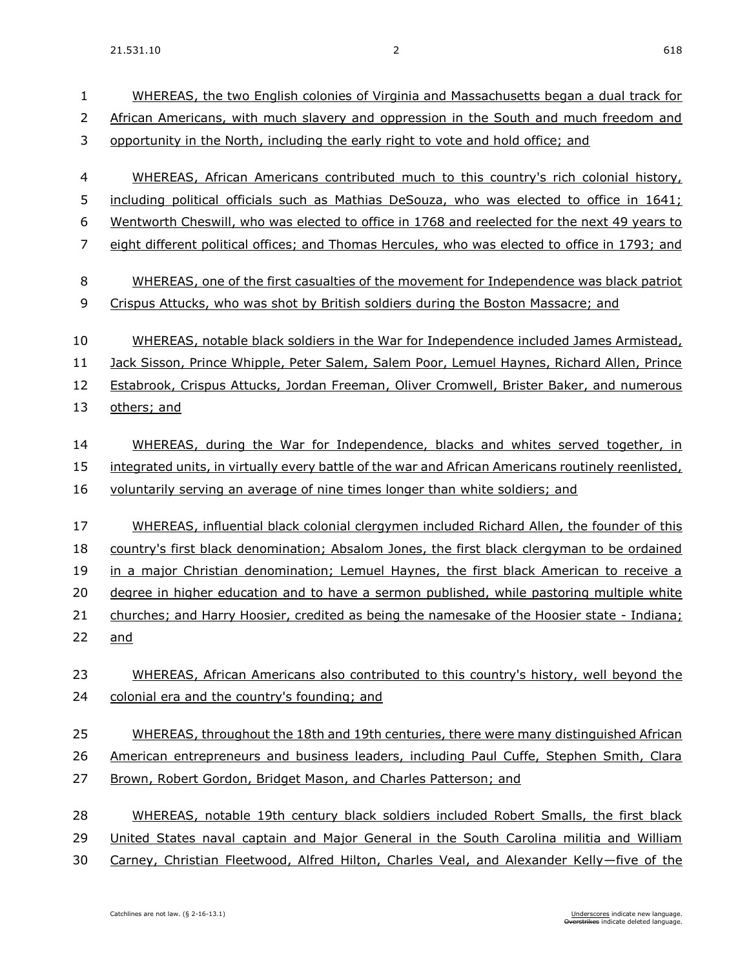| 1<br>2<br>3    | WHEREAS, the two English colonies of Virginia and Massachusetts began a dual track for<br>African Americans, with much slavery and oppression in the South and much freedom and<br>opportunity in the North, including the early right to vote and hold office; and |
|----------------|---------------------------------------------------------------------------------------------------------------------------------------------------------------------------------------------------------------------------------------------------------------------|
|                |                                                                                                                                                                                                                                                                     |
| $\overline{4}$ | WHEREAS, African Americans contributed much to this country's rich colonial history,                                                                                                                                                                                |
| 5              | including political officials such as Mathias DeSouza, who was elected to office in 1641;                                                                                                                                                                           |
| 6              | Wentworth Cheswill, who was elected to office in 1768 and reelected for the next 49 years to                                                                                                                                                                        |
| 7              | eight different political offices; and Thomas Hercules, who was elected to office in 1793; and                                                                                                                                                                      |
| 8              | WHEREAS, one of the first casualties of the movement for Independence was black patriot                                                                                                                                                                             |
| 9              | Crispus Attucks, who was shot by British soldiers during the Boston Massacre; and                                                                                                                                                                                   |
| 10             | WHEREAS, notable black soldiers in the War for Independence included James Armistead,                                                                                                                                                                               |
| 11             | Jack Sisson, Prince Whipple, Peter Salem, Salem Poor, Lemuel Haynes, Richard Allen, Prince                                                                                                                                                                          |
| 12             | Estabrook, Crispus Attucks, Jordan Freeman, Oliver Cromwell, Brister Baker, and numerous                                                                                                                                                                            |
| 13             | others; and                                                                                                                                                                                                                                                         |
| 14             | WHEREAS, during the War for Independence, blacks and whites served together, in                                                                                                                                                                                     |
| 15             | integrated units, in virtually every battle of the war and African Americans routinely reenlisted,                                                                                                                                                                  |
| 16             | voluntarily serving an average of nine times longer than white soldiers; and                                                                                                                                                                                        |
|                |                                                                                                                                                                                                                                                                     |
| 17             | WHEREAS, influential black colonial clergymen included Richard Allen, the founder of this                                                                                                                                                                           |
| 18             | country's first black denomination; Absalom Jones, the first black clergyman to be ordained                                                                                                                                                                         |
| 19             | in a major Christian denomination; Lemuel Haynes, the first black American to receive a                                                                                                                                                                             |
| 20             | degree in higher education and to have a sermon published, while pastoring multiple white                                                                                                                                                                           |
| 21             | churches; and Harry Hoosier, credited as being the namesake of the Hoosier state - Indiana;                                                                                                                                                                         |
| 22             | <u>and</u>                                                                                                                                                                                                                                                          |
| 23             | WHEREAS, African Americans also contributed to this country's history, well beyond the                                                                                                                                                                              |
| 24             | colonial era and the country's founding; and                                                                                                                                                                                                                        |
| 25             | WHEREAS, throughout the 18th and 19th centuries, there were many distinguished African                                                                                                                                                                              |
| 26             | American entrepreneurs and business leaders, including Paul Cuffe, Stephen Smith, Clara                                                                                                                                                                             |
| 27             | Brown, Robert Gordon, Bridget Mason, and Charles Patterson; and                                                                                                                                                                                                     |
| 28             | WHEREAS, notable 19th century black soldiers included Robert Smalls, the first black                                                                                                                                                                                |
| 29             | United States naval captain and Major General in the South Carolina militia and William                                                                                                                                                                             |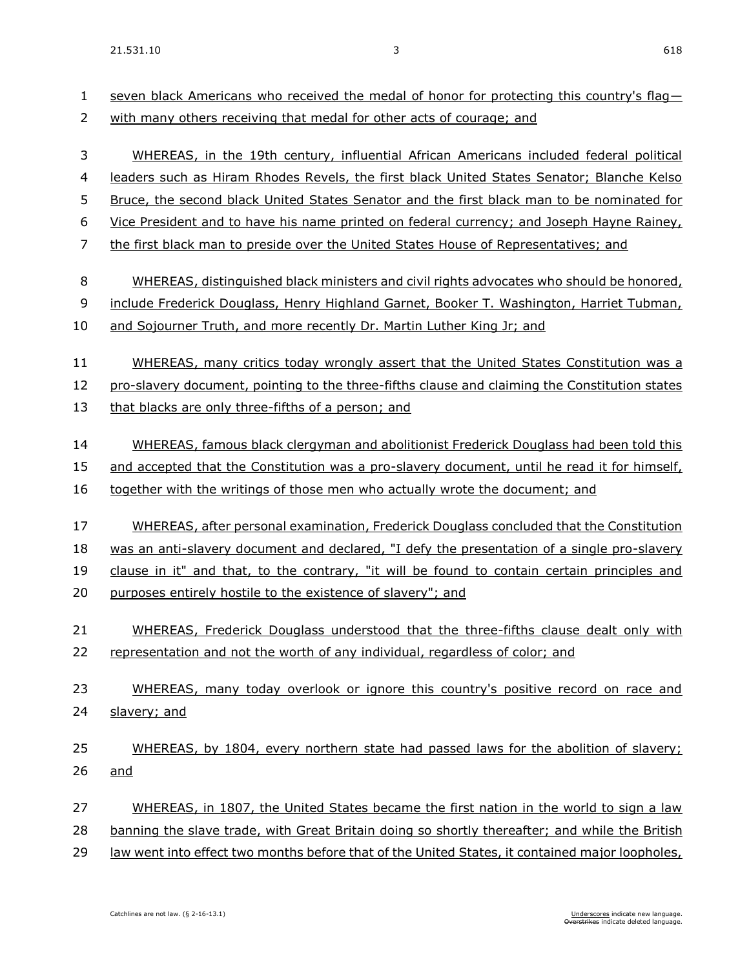| 1<br>2 | seven black Americans who received the medal of honor for protecting this country's flag-<br>with many others receiving that medal for other acts of courage; and |
|--------|-------------------------------------------------------------------------------------------------------------------------------------------------------------------|
| 3      | WHEREAS, in the 19th century, influential African Americans included federal political                                                                            |
| 4      | leaders such as Hiram Rhodes Revels, the first black United States Senator; Blanche Kelso                                                                         |
| 5      | Bruce, the second black United States Senator and the first black man to be nominated for                                                                         |
| 6      | Vice President and to have his name printed on federal currency; and Joseph Hayne Rainey,                                                                         |
| 7      | the first black man to preside over the United States House of Representatives; and                                                                               |
| 8      | WHEREAS, distinguished black ministers and civil rights advocates who should be honored,                                                                          |
| 9      | include Frederick Douglass, Henry Highland Garnet, Booker T. Washington, Harriet Tubman,                                                                          |
| 10     | and Sojourner Truth, and more recently Dr. Martin Luther King Jr; and                                                                                             |
| 11     | WHEREAS, many critics today wrongly assert that the United States Constitution was a                                                                              |
| 12     | pro-slavery document, pointing to the three-fifths clause and claiming the Constitution states                                                                    |
| 13     | that blacks are only three-fifths of a person; and                                                                                                                |
| 14     | WHEREAS, famous black clergyman and abolitionist Frederick Douglass had been told this                                                                            |
| 15     | and accepted that the Constitution was a pro-slavery document, until he read it for himself,                                                                      |
| 16     | together with the writings of those men who actually wrote the document; and                                                                                      |
| 17     | WHEREAS, after personal examination, Frederick Douglass concluded that the Constitution                                                                           |
| 18     | was an anti-slavery document and declared, "I defy the presentation of a single pro-slavery                                                                       |
| 19     | clause in it" and that, to the contrary, "it will be found to contain certain principles and                                                                      |
| 20     | purposes entirely hostile to the existence of slavery"; and                                                                                                       |
| 21     | WHEREAS, Frederick Douglass understood that the three-fifths clause dealt only with                                                                               |
| 22     | representation and not the worth of any individual, regardless of color; and                                                                                      |
| 23     | WHEREAS, many today overlook or ignore this country's positive record on race and                                                                                 |
| 24     | slavery; and                                                                                                                                                      |
| 25     | WHEREAS, by 1804, every northern state had passed laws for the abolition of slavery;                                                                              |
| 26     | <u>and</u>                                                                                                                                                        |
| 27     | WHEREAS, in 1807, the United States became the first nation in the world to sign a law                                                                            |
| 28     | banning the slave trade, with Great Britain doing so shortly thereafter; and while the British                                                                    |
| 29     | law went into effect two months before that of the United States, it contained major loopholes,                                                                   |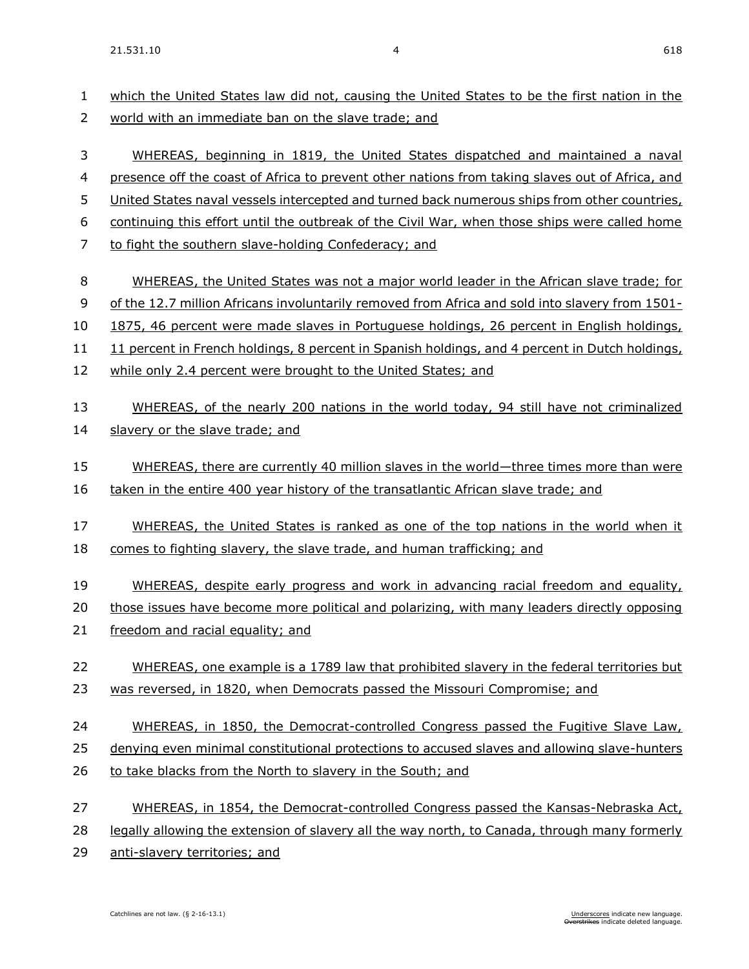which the United States law did not, causing the United States to be the first nation in the world with an immediate ban on the slave trade; and WHEREAS, beginning in 1819, the United States dispatched and maintained a naval presence off the coast of Africa to prevent other nations from taking slaves out of Africa, and 5 United States naval vessels intercepted and turned back numerous ships from other countries, continuing this effort until the outbreak of the Civil War, when those ships were called home to fight the southern slave-holding Confederacy; and 8 WHEREAS, the United States was not a major world leader in the African slave trade: for of the 12.7 million Africans involuntarily removed from Africa and sold into slavery from 1501- 1875, 46 percent were made slaves in Portuguese holdings, 26 percent in English holdings, 11 percent in French holdings, 8 percent in Spanish holdings, and 4 percent in Dutch holdings, 12 while only 2.4 percent were brought to the United States; and WHEREAS, of the nearly 200 nations in the world today, 94 still have not criminalized slavery or the slave trade; and WHEREAS, there are currently 40 million slaves in the world—three times more than were taken in the entire 400 year history of the transatlantic African slave trade; and WHEREAS, the United States is ranked as one of the top nations in the world when it comes to fighting slavery, the slave trade, and human trafficking; and 19 WHEREAS, despite early progress and work in advancing racial freedom and equality, those issues have become more political and polarizing, with many leaders directly opposing freedom and racial equality; and WHEREAS, one example is a 1789 law that prohibited slavery in the federal territories but was reversed, in 1820, when Democrats passed the Missouri Compromise; and WHEREAS, in 1850, the Democrat-controlled Congress passed the Fugitive Slave Law, denying even minimal constitutional protections to accused slaves and allowing slave-hunters 26 to take blacks from the North to slavery in the South; and WHEREAS, in 1854, the Democrat-controlled Congress passed the Kansas-Nebraska Act, legally allowing the extension of slavery all the way north, to Canada, through many formerly anti-slavery territories; and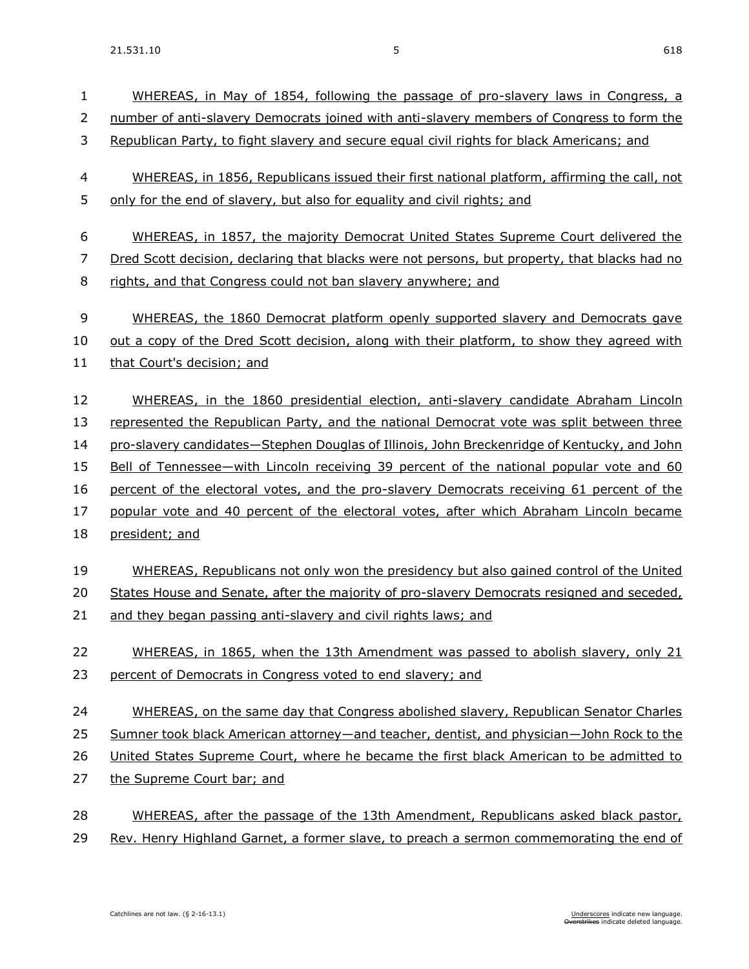| $\mathbf{1}$ | WHEREAS, in May of 1854, following the passage of pro-slavery laws in Congress, a                    |
|--------------|------------------------------------------------------------------------------------------------------|
| 2            | number of anti-slavery Democrats joined with anti-slavery members of Congress to form the            |
| 3            | Republican Party, to fight slavery and secure equal civil rights for black Americans; and            |
| 4            | WHEREAS, in 1856, Republicans issued their first national platform, affirming the call, not          |
| 5            | only for the end of slavery, but also for equality and civil rights; and                             |
| 6            | WHEREAS, in 1857, the majority Democrat United States Supreme Court delivered the                    |
| 7            | <u>Dred Scott decision, declaring that blacks were not persons, but property, that blacks had no</u> |
| 8            | rights, and that Congress could not ban slavery anywhere; and                                        |
| 9            | WHEREAS, the 1860 Democrat platform openly supported slavery and Democrats gave                      |
| 10           | out a copy of the Dred Scott decision, along with their platform, to show they agreed with           |
| 11           | that Court's decision; and                                                                           |
| 12           | WHEREAS, in the 1860 presidential election, anti-slavery candidate Abraham Lincoln                   |
| 13           | represented the Republican Party, and the national Democrat vote was split between three             |
| 14           | pro-slavery candidates—Stephen Douglas of Illinois, John Breckenridge of Kentucky, and John          |
| 15           | Bell of Tennessee—with Lincoln receiving 39 percent of the national popular vote and 60              |
| 16           | percent of the electoral votes, and the pro-slavery Democrats receiving 61 percent of the            |
| 17           | popular vote and 40 percent of the electoral votes, after which Abraham Lincoln became               |
| 18           | president; and                                                                                       |
| 19           | WHEREAS, Republicans not only won the presidency but also gained control of the United               |
| 20           | States House and Senate, after the majority of pro-slavery Democrats resigned and seceded,           |
| 21           | and they began passing anti-slavery and civil rights laws; and                                       |
| 22           | WHEREAS, in 1865, when the 13th Amendment was passed to abolish slavery, only 21                     |
| 23           | percent of Democrats in Congress voted to end slavery; and                                           |
| 24           | WHEREAS, on the same day that Congress abolished slavery, Republican Senator Charles                 |
| 25           | Sumner took black American attorney—and teacher, dentist, and physician—John Rock to the             |
| 26           | United States Supreme Court, where he became the first black American to be admitted to              |
| 27           | the Supreme Court bar; and                                                                           |
| 28           | WHEREAS, after the passage of the 13th Amendment, Republicans asked black pastor,                    |
| 29           | Rev. Henry Highland Garnet, a former slave, to preach a sermon commemorating the end of              |
|              |                                                                                                      |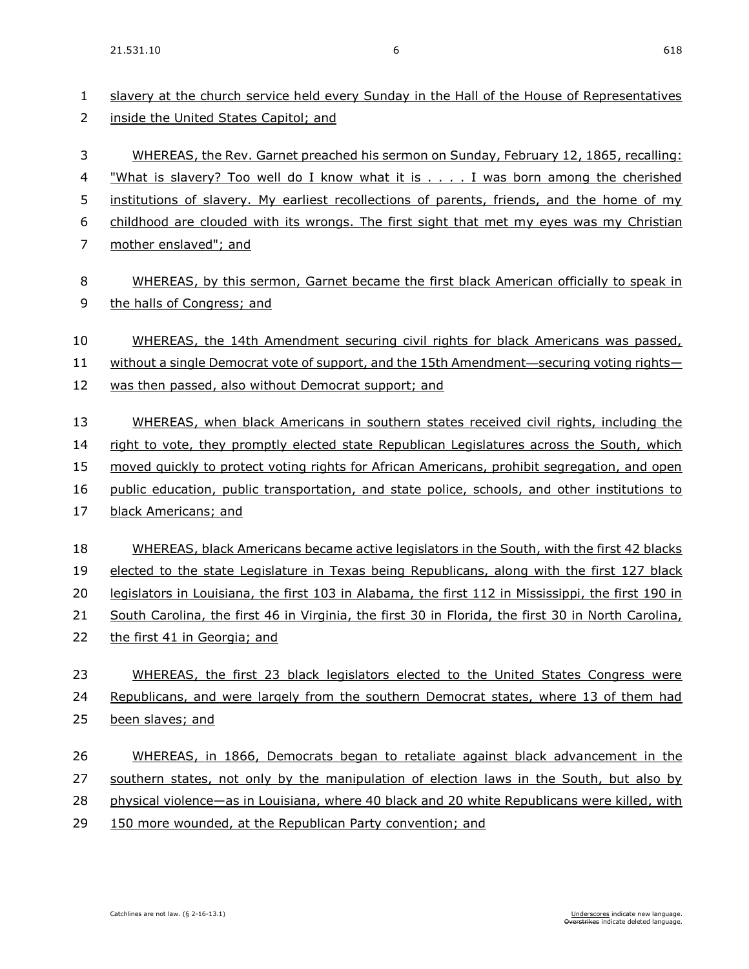| 1<br>2 | slavery at the church service held every Sunday in the Hall of the House of Representatives<br>inside the United States Capitol; and |
|--------|--------------------------------------------------------------------------------------------------------------------------------------|
| 3      | WHEREAS, the Rev. Garnet preached his sermon on Sunday, February 12, 1865, recalling:                                                |
| 4      | "What is slavery? Too well do I know what it is I was born among the cherished                                                       |
| 5      | institutions of slavery. My earliest recollections of parents, friends, and the home of my                                           |
| 6      | childhood are clouded with its wrongs. The first sight that met my eyes was my Christian                                             |
| 7      | mother enslaved"; and                                                                                                                |
| 8      | WHEREAS, by this sermon, Garnet became the first black American officially to speak in                                               |
| 9      | the halls of Congress; and                                                                                                           |
| 10     | WHEREAS, the 14th Amendment securing civil rights for black Americans was passed,                                                    |
| 11     | without a single Democrat vote of support, and the 15th Amendment—securing voting rights—                                            |
| 12     | was then passed, also without Democrat support; and                                                                                  |
| 13     | WHEREAS, when black Americans in southern states received civil rights, including the                                                |
| 14     | right to vote, they promptly elected state Republican Legislatures across the South, which                                           |
| 15     | moved quickly to protect voting rights for African Americans, prohibit segregation, and open                                         |
| 16     | public education, public transportation, and state police, schools, and other institutions to                                        |
| 17     | black Americans; and                                                                                                                 |
| 18     | WHEREAS, black Americans became active legislators in the South, with the first 42 blacks                                            |
| 19     | elected to the state Legislature in Texas being Republicans, along with the first 127 black                                          |
| 20     | legislators in Louisiana, the first 103 in Alabama, the first 112 in Mississippi, the first 190 in                                   |
| 21     | South Carolina, the first 46 in Virginia, the first 30 in Florida, the first 30 in North Carolina,                                   |
| 22     | the first 41 in Georgia; and                                                                                                         |
| 23     | WHEREAS, the first 23 black legislators elected to the United States Congress were                                                   |
| 24     | Republicans, and were largely from the southern Democrat states, where 13 of them had                                                |
| 25     | been slaves; and                                                                                                                     |
| 26     | WHEREAS, in 1866, Democrats began to retaliate against black advancement in the                                                      |
| 27     | southern states, not only by the manipulation of election laws in the South, but also by                                             |
| 28     | physical violence—as in Louisiana, where 40 black and 20 white Republicans were killed, with                                         |
| 29     | 150 more wounded, at the Republican Party convention; and                                                                            |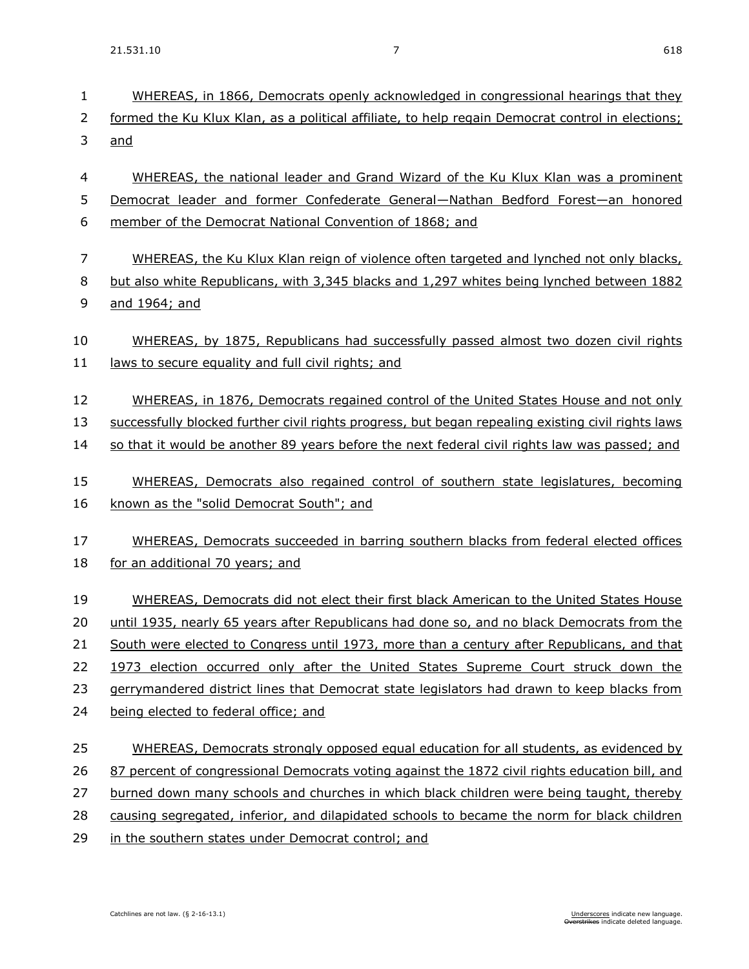21.531.10 7 618

| $\mathbf{1}$<br>2        | WHEREAS, in 1866, Democrats openly acknowledged in congressional hearings that they<br>formed the Ku Klux Klan, as a political affiliate, to help regain Democrat control in elections; |
|--------------------------|-----------------------------------------------------------------------------------------------------------------------------------------------------------------------------------------|
| 3                        | and                                                                                                                                                                                     |
| $\overline{\mathcal{A}}$ | WHEREAS, the national leader and Grand Wizard of the Ku Klux Klan was a prominent                                                                                                       |
| 5                        | Democrat leader and former Confederate General-Nathan Bedford Forest-an honored                                                                                                         |
| 6                        | member of the Democrat National Convention of 1868; and                                                                                                                                 |
| 7                        | WHEREAS, the Ku Klux Klan reign of violence often targeted and lynched not only blacks,                                                                                                 |
| 8                        | but also white Republicans, with 3,345 blacks and 1,297 whites being lynched between 1882                                                                                               |
| 9                        | and 1964; and                                                                                                                                                                           |
| 10                       | WHEREAS, by 1875, Republicans had successfully passed almost two dozen civil rights                                                                                                     |
| 11                       | laws to secure equality and full civil rights; and                                                                                                                                      |
| 12                       | WHEREAS, in 1876, Democrats regained control of the United States House and not only                                                                                                    |
| 13                       | successfully blocked further civil rights progress, but began repealing existing civil rights laws                                                                                      |
| 14                       | so that it would be another 89 years before the next federal civil rights law was passed; and                                                                                           |
| 15                       | WHEREAS, Democrats also regained control of southern state legislatures, becoming                                                                                                       |
| 16                       | known as the "solid Democrat South"; and                                                                                                                                                |
| 17                       | WHEREAS, Democrats succeeded in barring southern blacks from federal elected offices                                                                                                    |
| 18                       | for an additional 70 years; and                                                                                                                                                         |
| 19                       | WHEREAS, Democrats did not elect their first black American to the United States House                                                                                                  |
| 20                       | until 1935, nearly 65 years after Republicans had done so, and no black Democrats from the                                                                                              |
| 21                       | South were elected to Congress until 1973, more than a century after Republicans, and that                                                                                              |
| 22                       | 1973 election occurred only after the United States Supreme Court struck down the                                                                                                       |
| 23                       | gerrymandered district lines that Democrat state legislators had drawn to keep blacks from                                                                                              |
| 24                       | being elected to federal office; and                                                                                                                                                    |
| 25                       | WHEREAS, Democrats strongly opposed equal education for all students, as evidenced by                                                                                                   |
| 26                       | 87 percent of congressional Democrats voting against the 1872 civil rights education bill, and                                                                                          |
| 27                       | burned down many schools and churches in which black children were being taught, thereby                                                                                                |
| 28                       | causing segregated, inferior, and dilapidated schools to became the norm for black children                                                                                             |
| 29                       | in the southern states under Democrat control; and                                                                                                                                      |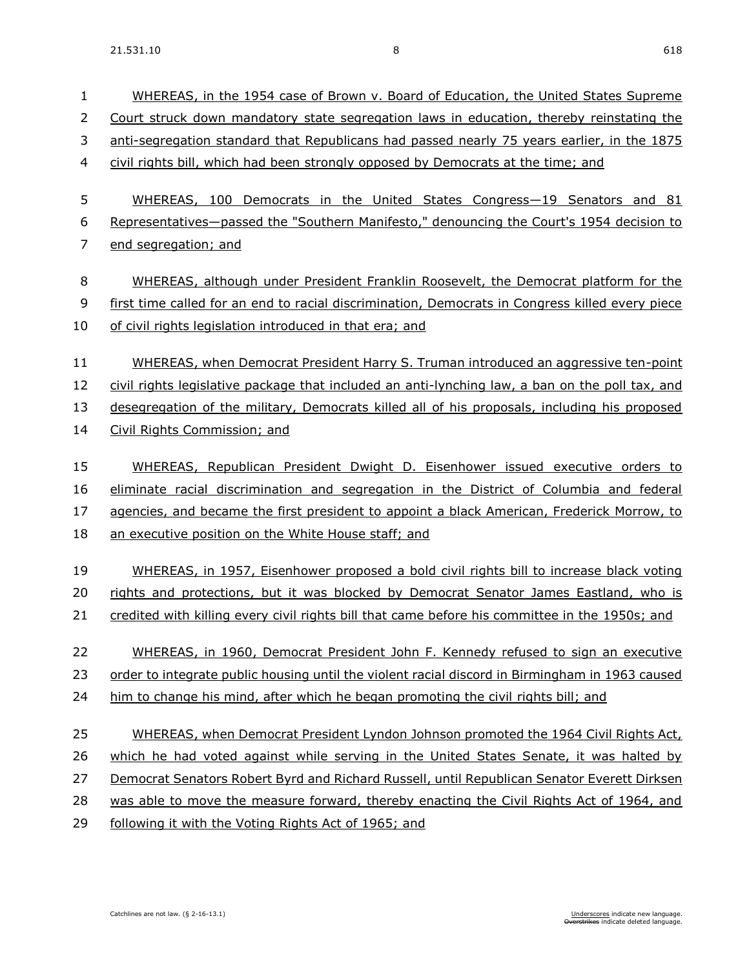| $\mathbf{1}$ | WHEREAS, in the 1954 case of Brown v. Board of Education, the United States Supreme             |
|--------------|-------------------------------------------------------------------------------------------------|
| 2            | Court struck down mandatory state segregation laws in education, thereby reinstating the        |
| 3            | anti-segregation standard that Republicans had passed nearly 75 years earlier, in the 1875      |
| 4            | civil rights bill, which had been strongly opposed by Democrats at the time; and                |
|              |                                                                                                 |
| 5            | WHEREAS, 100 Democrats in the United States Congress-19 Senators and 81                         |
| 6            | Representatives-passed the "Southern Manifesto," denouncing the Court's 1954 decision to        |
| 7            | end segregation; and                                                                            |
| 8            | WHEREAS, although under President Franklin Roosevelt, the Democrat platform for the             |
| 9            | first time called for an end to racial discrimination, Democrats in Congress killed every piece |
| 10           | of civil rights legislation introduced in that era; and                                         |
|              |                                                                                                 |
| 11           | WHEREAS, when Democrat President Harry S. Truman introduced an aggressive ten-point             |
| 12           | civil rights legislative package that included an anti-lynching law, a ban on the poll tax, and |
| 13           | desegregation of the military, Democrats killed all of his proposals, including his proposed    |
| 14           | Civil Rights Commission; and                                                                    |
| 15           | WHEREAS, Republican President Dwight D. Eisenhower issued executive orders to                   |
| 16           | eliminate racial discrimination and segregation in the District of Columbia and federal         |
| 17           | agencies, and became the first president to appoint a black American, Frederick Morrow, to      |
| 18           | an executive position on the White House staff; and                                             |
|              |                                                                                                 |
| 19           | WHEREAS, in 1957, Eisenhower proposed a bold civil rights bill to increase black voting         |
| 20           | rights and protections, but it was blocked by Democrat Senator James Eastland, who is           |
| 21           | credited with killing every civil rights bill that came before his committee in the 1950s; and  |
| 22           | WHEREAS, in 1960, Democrat President John F. Kennedy refused to sign an executive               |
| 23           | order to integrate public housing until the violent racial discord in Birmingham in 1963 caused |
| 24           | him to change his mind, after which he began promoting the civil rights bill; and               |
| 25           | WHEREAS, when Democrat President Lyndon Johnson promoted the 1964 Civil Rights Act,             |
| 26           | which he had voted against while serving in the United States Senate, it was halted by          |
|              |                                                                                                 |
| 27           | Democrat Senators Robert Byrd and Richard Russell, until Republican Senator Everett Dirksen     |
| 28           | was able to move the measure forward, thereby enacting the Civil Rights Act of 1964, and        |
| 29           | following it with the Voting Rights Act of 1965; and                                            |